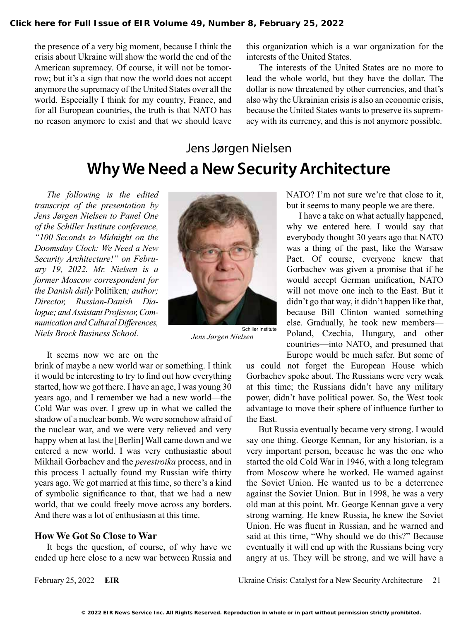the presence of a very big moment, because I think the crisis about Ukraine will show the world the end of the American supremacy. Of course, it will not be tomorrow; but it's a sign that now the world does not accept anymore the supremacy of the United States over all the world. Especially I think for my country, France, and for all European countries, the truth is that NATO has no reason anymore to exist and that we should leave this organization which is a war organization for the interests of the United States.

The interests of the United States are no more to lead the whole world, but they have the dollar. The dollar is now threatened by other currencies, and that's also why the Ukrainian crisis is also an economic crisis, because the United States wants to preserve its supremacy with its currency, and this is not anymore possible.

# Jens Jørgen Nielsen **Why We Need a New Security Architecture**

*The following is the edited transcript of the presentation by Jens Jørgen Nielsen to Panel One of the Schiller Institute conference, "100 Seconds to Midnight on the Doomsday Clock: We Need a New Security Architecture!" on February 19, 2022. Mr. Nielsen is a former Moscow correspondent for the Danish daily* Politiken*; author; Director, Russian-Danish Dialogue; and Assistant Professor, Communication and Cultural Differences, Niels Brock Business School.*

It seems now we are on the

brink of maybe a new world war or something. I think it would be interesting to try to find out how everything started, how we got there. I have an age, I was young 30 years ago, and I remember we had a new world—the Cold War was over. I grew up in what we called the shadow of a nuclear bomb. We were somehow afraid of the nuclear war, and we were very relieved and very happy when at last the [Berlin] Wall came down and we entered a new world. I was very enthusiastic about Mikhail Gorbachev and the *perestroika* process, and in this process I actually found my Russian wife thirty years ago. We got married at this time, so there's a kind of symbolic significance to that, that we had a new world, that we could freely move across any borders. And there was a lot of enthusiasm at this time.

## **How We Got So Close to War**

It begs the question, of course, of why have we ended up here close to a new war between Russia and



*Jens Jørgen Nielsen*

NATO? I'm not sure we're that close to it, but it seems to many people we are there.

I have a take on what actually happened, why we entered here. I would say that everybody thought 30 years ago that NATO was a thing of the past, like the Warsaw Pact. Of course, everyone knew that Gorbachev was given a promise that if he would accept German unification, NATO will not move one inch to the East. But it didn't go that way, it didn't happen like that, because Bill Clinton wanted something else. Gradually, he took new members— Poland, Czechia, Hungary, and other countries—into NATO, and presumed that Europe would be much safer. But some of

us could not forget the European House which Gorbachev spoke about. The Russians were very weak at this time; the Russians didn't have any military power, didn't have political power. So, the West took advantage to move their sphere of influence further to the East.

But Russia eventually became very strong. I would say one thing. George Kennan, for any historian, is a very important person, because he was the one who started the old Cold War in 1946, with a long telegram from Moscow where he worked. He warned against the Soviet Union. He wanted us to be a deterrence against the Soviet Union. But in 1998, he was a very old man at this point. Mr. George Kennan gave a very strong warning. He knew Russia, he knew the Soviet Union. He was fluent in Russian, and he warned and said at this time, "Why should we do this?" Because eventually it will end up with the Russians being very angry at us. They will be strong, and we will have a

February 25, 2022 **EIR** Ukraine Crisis: Catalyst for a New Security Architecture 21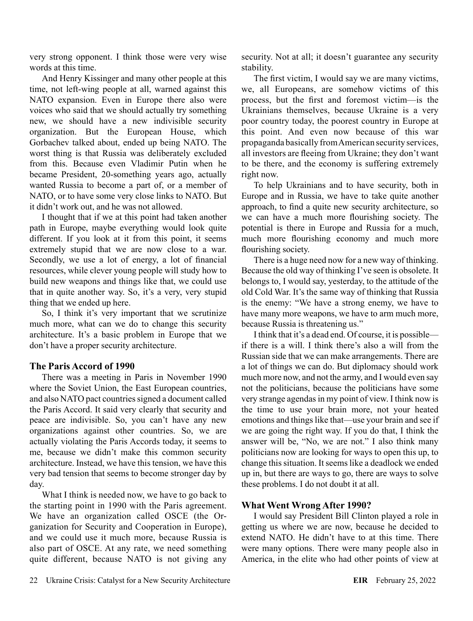very strong opponent. I think those were very wise words at this time.

And Henry Kissinger and many other people at this time, not left-wing people at all, warned against this NATO expansion. Even in Europe there also were voices who said that we should actually try something new, we should have a new indivisible security organization. But the European House, which Gorbachev talked about, ended up being NATO. The worst thing is that Russia was deliberately excluded from this. Because even Vladimir Putin when he became President, 20-something years ago, actually wanted Russia to become a part of, or a member of NATO, or to have some very close links to NATO. But it didn't work out, and he was not allowed.

I thought that if we at this point had taken another path in Europe, maybe everything would look quite different. If you look at it from this point, it seems extremely stupid that we are now close to a war. Secondly, we use a lot of energy, a lot of financial resources, while clever young people will study how to build new weapons and things like that, we could use that in quite another way. So, it's a very, very stupid thing that we ended up here.

So, I think it's very important that we scrutinize much more, what can we do to change this security architecture. It's a basic problem in Europe that we don't have a proper security architecture.

### **The Paris Accord of 1990**

There was a meeting in Paris in November 1990 where the Soviet Union, the East European countries, and also NATO pact countries signed a document called the Paris Accord. It said very clearly that security and peace are indivisible. So, you can't have any new organizations against other countries. So, we are actually violating the Paris Accords today, it seems to me, because we didn't make this common security architecture. Instead, we have this tension, we have this very bad tension that seems to become stronger day by day.

What I think is needed now, we have to go back to the starting point in 1990 with the Paris agreement. We have an organization called OSCE (the Organization for Security and Cooperation in Europe), and we could use it much more, because Russia is also part of OSCE. At any rate, we need something quite different, because NATO is not giving any security. Not at all; it doesn't guarantee any security stability.

The first victim, I would say we are many victims, we, all Europeans, are somehow victims of this process, but the first and foremost victim—is the Ukrainians themselves, because Ukraine is a very poor country today, the poorest country in Europe at this point. And even now because of this war propaganda basically from American security services, all investors are fleeing from Ukraine; they don't want to be there, and the economy is suffering extremely right now.

To help Ukrainians and to have security, both in Europe and in Russia, we have to take quite another approach, to find a quite new security architecture, so we can have a much more flourishing society. The potential is there in Europe and Russia for a much, much more flourishing economy and much more flourishing society.

There is a huge need now for a new way of thinking. Because the old way of thinking I've seen is obsolete. It belongs to, I would say, yesterday, to the attitude of the old Cold War. It's the same way of thinking that Russia is the enemy: "We have a strong enemy, we have to have many more weapons, we have to arm much more, because Russia is threatening us."

I think that it's a dead end. Of course, it is possible if there is a will. I think there's also a will from the Russian side that we can make arrangements. There are a lot of things we can do. But diplomacy should work much more now, and not the army, and I would even say not the politicians, because the politicians have some very strange agendas in my point of view. I think now is the time to use your brain more, not your heated emotions and things like that—use your brain and see if we are going the right way. If you do that, I think the answer will be, "No, we are not." I also think many politicians now are looking for ways to open this up, to change this situation. It seems like a deadlock we ended up in, but there are ways to go, there are ways to solve these problems. I do not doubt it at all.

### **What Went Wrong After 1990?**

I would say President Bill Clinton played a role in getting us where we are now, because he decided to extend NATO. He didn't have to at this time. There were many options. There were many people also in America, in the elite who had other points of view at